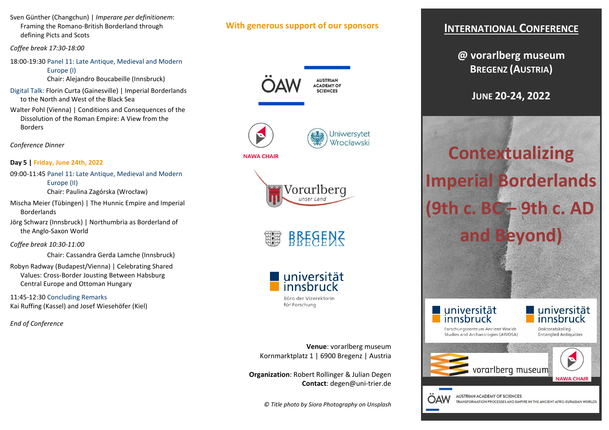Sven Günther (Changchun) | *Imperare per definitionem*: Framing the Romano-British Borderland through defining Picts and Scots

*Coffee break 17:30-18:00* 

18:00-19:30 Panel 11: Late Antique, Medieval and Modern Europe (I)

Chair: Alejandro Boucabeille (Innsbruck)

Digital Talk: Florin Curta (Gainesville) | Imperial Borderlands to the North and West of the Black Sea

Walter Pohl (Vienna) | Conditions and Consequences of the Dissolution of the Roman Empire: A View from the Borders

*Conference Dinner* 

**Day 5 | Friday, June 24th, 2022** 

09:00-11:45 Panel 11: Late Antique, Medieval and Modern Europe (II) Chair: Paulina Zagórska (Wrocław)

Mischa Meier (Tübingen) | The Hunnic Empire and Imperial Borderlands

Jörg Schwarz (Innsbruck) | Northumbria as Borderland of the Anglo-Saxon World

*Coffee break 10:30-11:00* 

Chair: Cassandra Gerda Lamche (Innsbruck)

Robyn Radway (Budapest/Vienna) | Celebrating SharedValues: Cross-Border Jousting Between Habsburg Central Europe and Ottoman Hungary

11:45-12:30 Concluding RemarksKai Ruffing (Kassel) and Josef Wiesehöfer (Kiel)

*End of Conference* 

# **With generous support of our sponsors**

**AUSTRIAN ACADEMY OF SCIENCES** 









für Forschung

**Venue**: vorarlberg museum Kornmarktplatz 1 | 6900 Bregenz | Austria

**Organization**: Robert Rollinger & Julian Degen **Contact**: degen@uni-trier.de

*© Title photo by Siora Photography on Unsplash* 

# **INTERNATIONAL CONFERENCE**

**@ vorarlberg museum BREGENZ (AUSTRIA)** 

**JUNE 20-24, 2022** 

**Contextualizing Imperial Borderlands(9th c. BC – 9th c. ADand Beyond)** 

universität innsbruck

OAW



Forschungszentrum Ancient Worlds Studies and Archaeologies (AWOSA)

TRANSFORMATION PROCESSES AND EMPIRE IN THE ANCIENT AFRO-EURASIAN WORLDS

Doktoratskolleg **Entangled Antiquities**